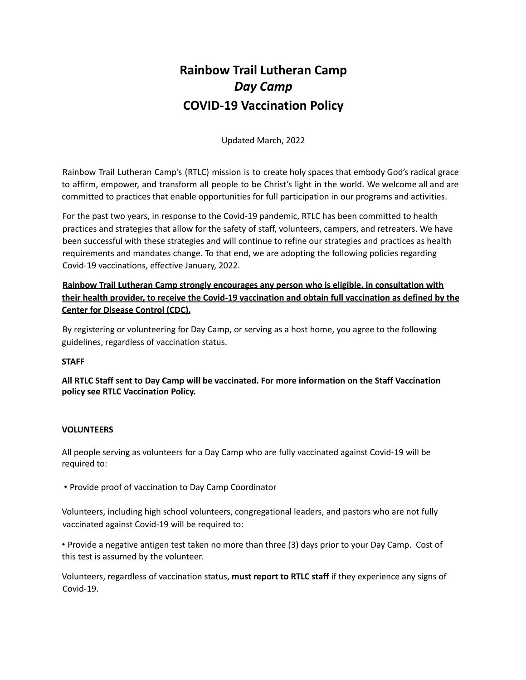# **Rainbow Trail Lutheran Camp** *Day Camp* **COVID-19 Vaccination Policy**

Updated March, 2022

Rainbow Trail Lutheran Camp's (RTLC) mission is to create holy spaces that embody God's radical grace to affirm, empower, and transform all people to be Christ's light in the world. We welcome all and are committed to practices that enable opportunities for full participation in our programs and activities.

For the past two years, in response to the Covid-19 pandemic, RTLC has been committed to health practices and strategies that allow for the safety of staff, volunteers, campers, and retreaters. We have been successful with these strategies and will continue to refine our strategies and practices as health requirements and mandates change. To that end, we are adopting the following policies regarding Covid-19 vaccinations, effective January, 2022.

# **Rainbow Trail Lutheran Camp strongly encourages any person who is eligible, in consultation with their health provider, to receive the Covid-19 vaccination and obtain full vaccination as defined by the Center for Disease Control (CDC).**

By registering or volunteering for Day Camp, or serving as a host home, you agree to the following guidelines, regardless of vaccination status.

# **STAFF**

**All RTLC Staff sent to Day Camp will be vaccinated. For more information on the Staff Vaccination policy see RTLC Vaccination Policy.**

# **VOLUNTEERS**

All people serving as volunteers for a Day Camp who are fully vaccinated against Covid-19 will be required to:

• Provide proof of vaccination to Day Camp Coordinator

Volunteers, including high school volunteers, congregational leaders, and pastors who are not fully vaccinated against Covid-19 will be required to:

• Provide a negative antigen test taken no more than three (3) days prior to your Day Camp. Cost of this test is assumed by the volunteer.

Volunteers, regardless of vaccination status, **must report to RTLC staff** if they experience any signs of Covid-19.